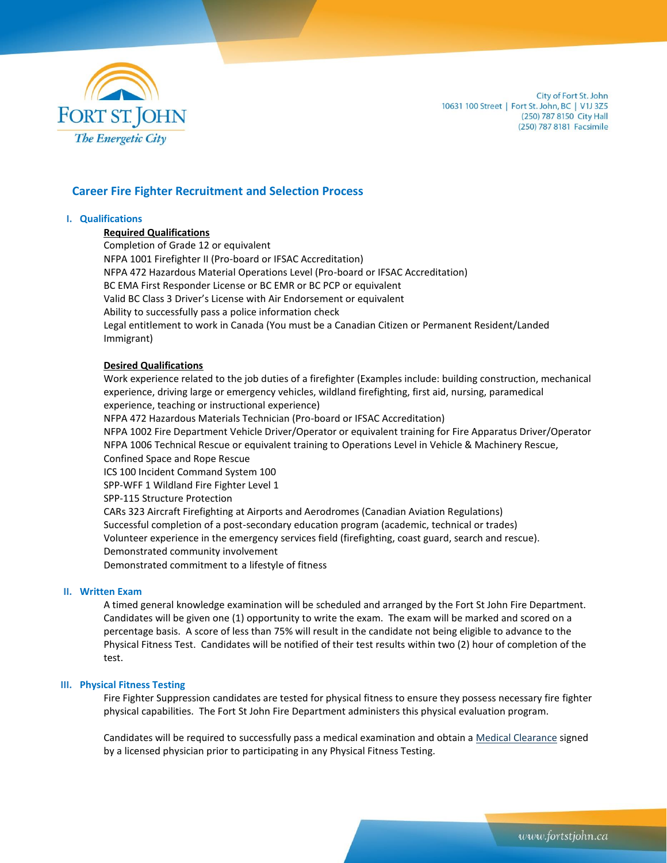

City of Fort St. John 10631 100 Street | Fort St. John, BC | V1J 3Z5 (250) 787 8150 City Hall (250) 787 8181 Facsimile

# **Career Fire Fighter Recruitment and Selection Process**

#### **I. Qualifications**

## **Required Qualifications**

Completion of Grade 12 or equivalent NFPA 1001 Firefighter II (Pro-board or IFSAC Accreditation) NFPA 472 Hazardous Material Operations Level (Pro-board or IFSAC Accreditation) BC EMA First Responder License or BC EMR or BC PCP or equivalent Valid BC Class 3 Driver's License with Air Endorsement or equivalent Ability to successfully pass a police information check Legal entitlement to work in Canada (You must be a Canadian Citizen or Permanent Resident/Landed Immigrant)

#### **Desired Qualifications**

Work experience related to the job duties of a firefighter (Examples include: building construction, mechanical experience, driving large or emergency vehicles, wildland firefighting, first aid, nursing, paramedical experience, teaching or instructional experience)

NFPA 472 Hazardous Materials Technician (Pro-board or IFSAC Accreditation)

NFPA 1002 Fire Department Vehicle Driver/Operator or equivalent training for Fire Apparatus Driver/Operator NFPA 1006 Technical Rescue or equivalent training to Operations Level in Vehicle & Machinery Rescue, Confined Space and Rope Rescue

ICS 100 Incident Command System 100

SPP-WFF 1 Wildland Fire Fighter Level 1

SPP-115 Structure Protection

CARs 323 Aircraft Firefighting at Airports and Aerodromes (Canadian Aviation Regulations) Successful completion of a post-secondary education program (academic, technical or trades) Volunteer experience in the emergency services field (firefighting, coast guard, search and rescue). Demonstrated community involvement Demonstrated commitment to a lifestyle of fitness

# **II. Written Exam**

A timed general knowledge examination will be scheduled and arranged by the Fort St John Fire Department. Candidates will be given one (1) opportunity to write the exam. The exam will be marked and scored on a percentage basis. A score of less than 75% will result in the candidate not being eligible to advance to the Physical Fitness Test. Candidates will be notified of their test results within two (2) hour of completion of the test.

## **III. Physical Fitness Testing**

Fire Fighter Suppression candidates are tested for physical fitness to ensure they possess necessary fire fighter physical capabilities. The Fort St John Fire Department administers this physical evaluation program.

Candidates will be required to successfully pass a medical examination and obtain a Medical [Clearance](file:///C:/Users/jbookham/AppData/Local/Microsoft/Windows/Temporary%20Internet%20Files/Content.Outlook/Z5EOXY36/Medical%20Release%20Form.pdf) signed by a licensed physician prior to participating in any Physical Fitness Testing.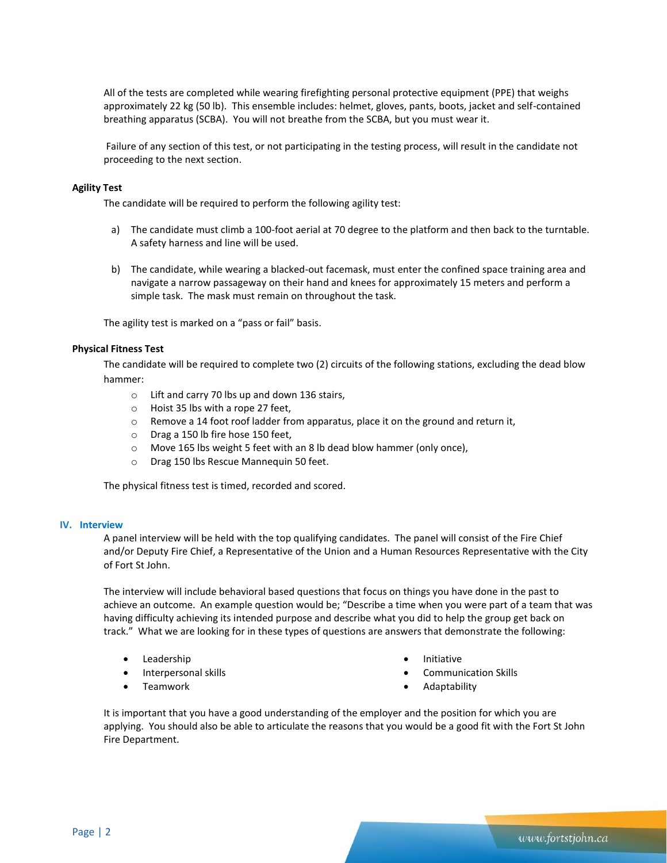All of the tests are completed while wearing firefighting personal protective equipment (PPE) that weighs approximately 22 kg (50 lb). This ensemble includes: helmet, gloves, pants, boots, jacket and self-contained breathing apparatus (SCBA). You will not breathe from the SCBA, but you must wear it.

Failure of any section of this test, or not participating in the testing process, will result in the candidate not proceeding to the next section.

## **Agility Test**

The candidate will be required to perform the following agility test:

- a) The candidate must climb a 100-foot aerial at 70 degree to the platform and then back to the turntable. A safety harness and line will be used.
- b) The candidate, while wearing a blacked-out facemask, must enter the confined space training area and navigate a narrow passageway on their hand and knees for approximately 15 meters and perform a simple task. The mask must remain on throughout the task.

The agility test is marked on a "pass or fail" basis.

## **Physical Fitness Test**

The candidate will be required to complete two (2) circuits of the following stations, excluding the dead blow hammer:

- o Lift and carry 70 lbs up and down 136 stairs,
- o Hoist 35 lbs with a rope 27 feet,
- o Remove a 14 foot roof ladder from apparatus, place it on the ground and return it,
- o Drag a 150 lb fire hose 150 feet,
- o Move 165 lbs weight 5 feet with an 8 lb dead blow hammer (only once),
- o Drag 150 lbs Rescue Mannequin 50 feet.

The physical fitness test is timed, recorded and scored.

## **IV. Interview**

A panel interview will be held with the top qualifying candidates. The panel will consist of the Fire Chief and/or Deputy Fire Chief, a Representative of the Union and a Human Resources Representative with the City of Fort St John.

The interview will include behavioral based questions that focus on things you have done in the past to achieve an outcome. An example question would be; "Describe a time when you were part of a team that was having difficulty achieving its intended purpose and describe what you did to help the group get back on track." What we are looking for in these types of questions are answers that demonstrate the following:

- Leadership
- Interpersonal skills
- Teamwork
- Initiative
- Communication Skills
- Adaptability

It is important that you have a good understanding of the employer and the position for which you are applying. You should also be able to articulate the reasons that you would be a good fit with the Fort St John Fire Department.